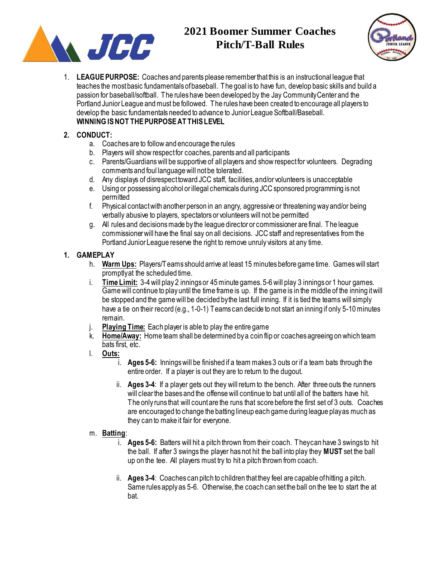

# **2021 Boomer Summer Coaches Pitch/T-Ball Rules**



1. **LEAGUE PURPOSE:** Coaches and parents please remember that this is an instructional league that teaches the most basic fundamentals of baseball. The goal is to have fun, develop basic skills and build a passion for baseball/softball. The rules have been developed by the Jay Community Center and the Portland Junior League and must be followed. The rules have been created to encourage all players to develop the basic fundamentals needed to advance to Junior League Softball/Baseball. **WINNING IS NOT THE PURPOSE AT THIS LEVEL**

## **2. CONDUCT:**

- a. Coaches are to follow and encourage the rules
- b. Players will show respect for coaches, parents and all participants
- c. Parents/Guardians will be supportive of all players and show respect for volunteers. Degrading comments and foul language will not be tolerated.
- d. Any displays of disrespect toward JCC staff, facilities, and/or volunteers is unacceptable
- e. Using or possessing alcohol or illegal chemicals during JCC sponsored programming is not permitted
- f. Physical contact with another person in an angry, aggressive or threatening way and/or being verbally abusive to players, spectators or volunteers will not be permitted
- g. All rules and decisions made by the league director or commissioner are final. The league commissioner will have the final say on all decisions. JCC staff and representatives from the Portland Junior League reserve the right to remove unruly visitors at any time.

## **1. GAMEPLAY**

- h. **Warm Ups:** Players/Teams should arrive at least 15 minutes before game time. Games will start promptly at the scheduled time.
- i. **Time Limit:** 3-4 will play 2 innings or 45 minute games. 5-6 will play 3 innings or 1 hour games. Game will continue to play until the time frame is up. If the game is in the middle of the inning it will be stopped and the game will be decided by the last full inning. If it is tied the teams will simply have a tie on their record (e.g., 1-0-1) Teams can decide to not start an inning if only 5-10 minutes remain.
- j. **Playing Time:** Each player is able to play the entire game
- k. **Home/Away:** Home team shall be determined by a coin flip or coaches agreeing on which team bats first, etc.
- l. **Outs:**
	- i. **Ages 5-6:** Innings will be finished if a team makes 3 outs or if a team bats through the entire order. If a player is out they are to return to the dugout.
	- ii. **Ages 3-4**: If a player gets out they will return to the bench. After three outs the runners will clear the bases and the offense will continue to bat until all of the batters have hit. The only runs that will count are the runs that score before the first set of 3 outs. Coaches are encouraged to change the batting lineup each game during league play as much as they can to make it fair for everyone.

## m. **Batting**:

- i. **Ages 5-6:** Batters will hit a pitch thrown from their coach. They can have 3 swings to hit the ball. If after 3 swings the player has not hit the ball into play they **MUST** set the ball up on the tee. All players must try to hit a pitch thrown from coach.
- ii. **Ages 3-4**: Coaches can pitch to children that they feel are capable of hitting a pitch. Same rules apply as 5-6. Otherwise, the coach can set the ball on the tee to start the at bat.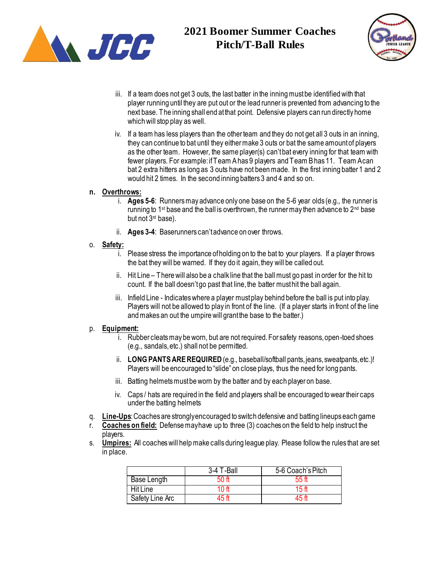



- iii. If a team does not get 3 outs, the last batter in the inning must be identified with that player running until they are put out or the lead runner is prevented from advancing to the next base. The inning shall end at that point. Defensive players can run directly home which will stop play as well.
- iv. If a team has less players than the other team and they do not get all 3 outs in an inning, they can continue to bat until they either make 3 outs or bat the same amount of players as the other team. However, the same player(s) can'tbat every inning for that team with fewer players. For example: if Team A has 9 players and Team B has 11. Team A can bat 2 extra hitters as long as 3 outs have not been made. In the first inning batter 1 and 2 would hit 2 times. In the second inning batters 3 and 4 and so on.

#### **n. Overthrows:**

- i. **Ages 5-6**: Runners may advance only one base on the 5-6 year olds (e.g., the runner is running to 1<sup>st</sup> base and the ball is overthrown, the runner may then advance to  $2^{nd}$  base but not 3rd base).
- ii. **Ages 3-4**: Baserunners can't advance on over throws.

#### o. **Safety:**

- i. Please stress the importance of holding on to the bat to your players. If a player throws the bat they will be warned. If they do it again, they will be called out.
- ii. Hit Line There will also be a chalk line that the ball must go past in order for the hit to count. If the ball doesn't go past that line, the batter must hit the ball again.
- iii. Infield Line Indicates where a player must play behind before the ball is put into play. Players will not be allowed to play in front of the line. (If a player starts in front of the line and makes an out the umpire will grant the base to the batter.)

### p. **Equipment:**

- i. Rubber cleats may be worn, but are not required. For safety reasons, open-toed shoes (e.g., sandals, etc.) shall not be permitted.
- ii. **LONG PANTSARE REQUIRED** (e.g., baseball/softball pants, jeans, sweatpants, etc.)! Players will be encouraged to "slide" on close plays, thus the need for long pants.
- iii. Batting helmets must be worn by the batter and by each player on base.
- iv. Caps / hats are required in the field and players shall be encouraged to wear their caps under the batting helmets
- q. **Line-Ups**: Coaches are strongly encouraged to switch defensive and batting lineups each game
- r. **Coaches on field:** Defense may have up to three (3) coaches on the field to help instruct the players.
- s. **Umpires:** All coaches will help make calls during league play. Please follow the rules that are set in place.

|                 | 3-4 T-Ball | 5-6 Coach's Pitch |
|-----------------|------------|-------------------|
| Base Length     | .50 ft     | 55 f              |
| <b>Hit Line</b> | 10 ff      | 15 ft             |
| Safety Line Arc | 45 ft      | 15 A              |